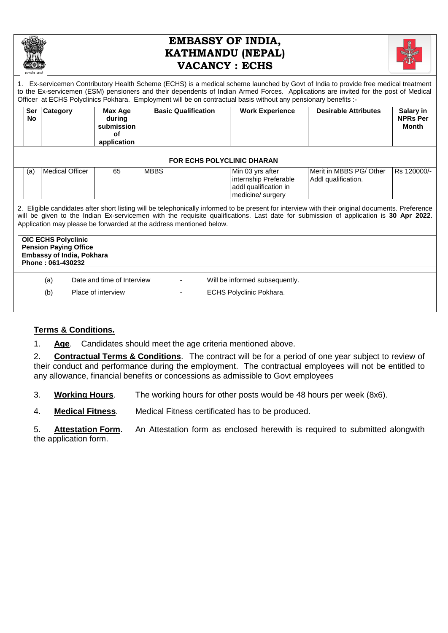

# **EMBASSY OF INDIA, KATHMANDU (NEPAL) VACANCY : ECHS**



1. Ex-servicemen Contributory Health Scheme (ECHS) is a medical scheme launched by Govt of India to provide free medical treatment to the Ex-servicemen (ESM) pensioners and their dependents of Indian Armed Forces. Applications are invited for the post of Medical Officer at ECHS Polyclinics Pokhara. Employment will be on contractual basis without any pensionary benefits :-

| <b>Ser</b><br>No                                                                                                                                                                                                                                                                                                                                                | Category               | Max Age<br>during<br>submission<br>оf<br>application | <b>Basic Qualification</b> | <b>Work Experience</b>                                                                  | <b>Desirable Attributes</b>                    | Salary in<br><b>NPRs Per</b><br>Month |  |
|-----------------------------------------------------------------------------------------------------------------------------------------------------------------------------------------------------------------------------------------------------------------------------------------------------------------------------------------------------------------|------------------------|------------------------------------------------------|----------------------------|-----------------------------------------------------------------------------------------|------------------------------------------------|---------------------------------------|--|
| <b>FOR ECHS POLYCLINIC DHARAN</b>                                                                                                                                                                                                                                                                                                                               |                        |                                                      |                            |                                                                                         |                                                |                                       |  |
| (a)                                                                                                                                                                                                                                                                                                                                                             | <b>Medical Officer</b> | 65                                                   | <b>MBBS</b>                | Min 03 yrs after<br>internship Preferable<br>addl qualification in<br>medicine/ surgery | Merit in MBBS PG/ Other<br>Addl qualification. | Rs 120000/-                           |  |
| 2. Eligible candidates after short listing will be telephonically informed to be present for interview with their original documents. Preference<br>will be given to the Indian Ex-servicemen with the requisite qualifications. Last date for submission of application is 30 Apr 2022.<br>Application may please be forwarded at the address mentioned below. |                        |                                                      |                            |                                                                                         |                                                |                                       |  |
| <b>OIC ECHS Polyclinic</b><br><b>Pension Paying Office</b><br><b>Embassy of India, Pokhara</b><br>Phone: 061-430232                                                                                                                                                                                                                                             |                        |                                                      |                            |                                                                                         |                                                |                                       |  |
|                                                                                                                                                                                                                                                                                                                                                                 |                        |                                                      |                            |                                                                                         |                                                |                                       |  |
|                                                                                                                                                                                                                                                                                                                                                                 | (a)                    | Date and time of Interview                           |                            | Will be informed subsequently.                                                          |                                                |                                       |  |
|                                                                                                                                                                                                                                                                                                                                                                 | (b)                    | Place of interview                                   |                            | ECHS Polyclinic Pokhara.                                                                |                                                |                                       |  |

## **Terms & Conditions.**

1. **Age**. Candidates should meet the age criteria mentioned above.

2. **Contractual Terms & Conditions**. The contract will be for a period of one year subject to review of their conduct and performance during the employment. The contractual employees will not be entitled to any allowance, financial benefits or concessions as admissible to Govt employees

3. **Working Hours**. The working hours for other posts would be 48 hours per week (8x6).

4. **Medical Fitness**. Medical Fitness certificated has to be produced.

5. **Attestation Form**. An Attestation form as enclosed herewith is required to submitted alongwith the application form.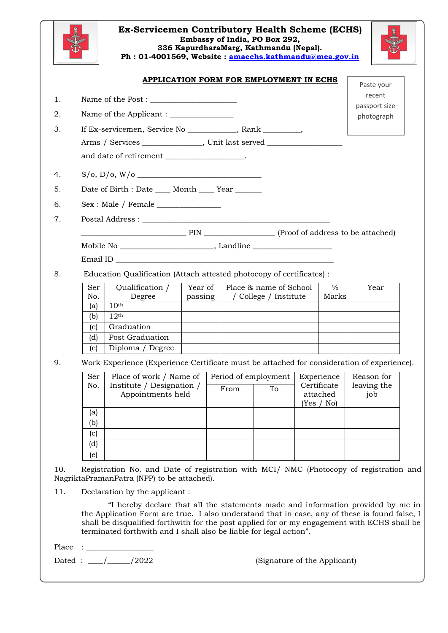

#### **Ex-Servicemen Contributory Health Scheme (ECHS) Embassy of India, PO Box 292, 336 KapurdharaMarg, Kathmandu (Nepal). Ph : 01-4001569, Website : [amaechs.kathmandu@mea.gov.in](mailto:amaechs.kathmandu@mea.gov.in)**



|                                                                       | Name of the Post : $\begin{tabular}{ c c } \hline \multicolumn{1}{ c }{\textbf{Name of the Post :}} \end{tabular}$ |         |                      |                       |             |                        | Paste your<br>recent |  |
|-----------------------------------------------------------------------|--------------------------------------------------------------------------------------------------------------------|---------|----------------------|-----------------------|-------------|------------------------|----------------------|--|
|                                                                       |                                                                                                                    |         |                      |                       |             |                        | passport size        |  |
|                                                                       |                                                                                                                    |         |                      |                       |             |                        | photograph           |  |
|                                                                       | If Ex-servicemen, Service No __________, Rank _______,                                                             |         |                      |                       |             |                        |                      |  |
|                                                                       | Arms / Services _______________, Unit last served ____________                                                     |         |                      |                       |             |                        |                      |  |
|                                                                       | and date of retirement __________________.                                                                         |         |                      |                       |             |                        |                      |  |
|                                                                       |                                                                                                                    |         |                      |                       |             |                        |                      |  |
|                                                                       | Date of Birth : Date ____ Month ____ Year ______                                                                   |         |                      |                       |             |                        |                      |  |
|                                                                       |                                                                                                                    |         |                      |                       |             |                        |                      |  |
|                                                                       |                                                                                                                    |         |                      |                       |             |                        |                      |  |
|                                                                       |                                                                                                                    |         |                      |                       |             |                        |                      |  |
|                                                                       |                                                                                                                    |         |                      |                       |             |                        |                      |  |
|                                                                       |                                                                                                                    |         |                      |                       |             |                        |                      |  |
| Education Qualification (Attach attested photocopy of certificates) : |                                                                                                                    |         |                      |                       |             |                        |                      |  |
| Year of<br>Place & name of School                                     |                                                                                                                    |         |                      |                       |             |                        |                      |  |
| Ser<br>No.                                                            | Qualification /<br>Degree                                                                                          | passing |                      | / College / Institute |             | $\%$<br>Marks          | Year                 |  |
| (a)                                                                   | 10 <sup>th</sup>                                                                                                   |         |                      |                       |             |                        |                      |  |
| (b)                                                                   | 12 <sup>th</sup>                                                                                                   |         |                      |                       |             |                        |                      |  |
| (c)                                                                   | Graduation                                                                                                         |         |                      |                       |             |                        |                      |  |
| (d)                                                                   | Post Graduation                                                                                                    |         |                      |                       |             |                        |                      |  |
| (e)                                                                   | Diploma / Degree                                                                                                   |         |                      |                       |             |                        |                      |  |
|                                                                       | Work Experience (Experience Certificate must be attached for consideration of experience).                         |         |                      |                       |             |                        |                      |  |
| Ser                                                                   | Place of work / Name of                                                                                            |         | Period of employment |                       |             | Experience             | Reason for           |  |
| No.                                                                   | Institute / Designation /                                                                                          |         | From                 | To                    | Certificate |                        | leaving the          |  |
|                                                                       | Appointments held                                                                                                  |         |                      |                       |             | attached<br>(Yes / No) | job                  |  |
| (a)                                                                   |                                                                                                                    |         |                      |                       |             |                        |                      |  |
| (b)                                                                   |                                                                                                                    |         |                      |                       |             |                        |                      |  |
| (c)                                                                   |                                                                                                                    |         |                      |                       |             |                        |                      |  |
|                                                                       |                                                                                                                    |         |                      |                       |             |                        |                      |  |
| (d)                                                                   |                                                                                                                    |         |                      |                       |             |                        |                      |  |

"I hereby declare that all the statements made and information provided by me in the Application Form are true. I also understand that in case, any of these is found false, I shall be disqualified forthwith for the post applied for or my engagement with ECHS shall be terminated forthwith and I shall also be liable for legal action".

 $Place : \_\_$ 

Dated : \_\_\_\_/\_\_\_\_\_\_/2022 (Signature of the Applicant)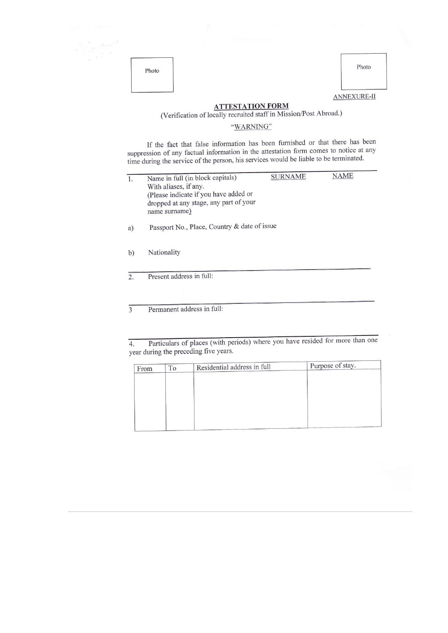| ľ<br>Û |  |
|--------|--|
|        |  |



**ATTESTATION FORM**<br>(Verification of locally recruited staff in Mission/Post Abroad.)

### "WARNING"

If the fact that false information has been furnished or that there has been suppression of any factual information in the attestation form comes to notice at any time during the service of the person, his services would be liable to be terminated.

| 1. | Name in full (in block capitals)                                              | <b>SURNAME</b> | NAME |  |  |  |  |  |
|----|-------------------------------------------------------------------------------|----------------|------|--|--|--|--|--|
|    | With aliases, if any.                                                         |                |      |  |  |  |  |  |
|    | (Please indicate if you have added or                                         |                |      |  |  |  |  |  |
|    | dropped at any stage, any part of your                                        |                |      |  |  |  |  |  |
|    | name surname)                                                                 |                |      |  |  |  |  |  |
|    |                                                                               |                |      |  |  |  |  |  |
| a) | Passport No., Place, Country & date of issue                                  |                |      |  |  |  |  |  |
|    |                                                                               |                |      |  |  |  |  |  |
|    |                                                                               |                |      |  |  |  |  |  |
| b) | Nationality                                                                   |                |      |  |  |  |  |  |
|    |                                                                               |                |      |  |  |  |  |  |
|    |                                                                               |                |      |  |  |  |  |  |
| 2. | Present address in full:                                                      |                |      |  |  |  |  |  |
|    |                                                                               |                |      |  |  |  |  |  |
|    |                                                                               |                |      |  |  |  |  |  |
|    | Permanent address in full:                                                    |                |      |  |  |  |  |  |
|    |                                                                               |                |      |  |  |  |  |  |
|    |                                                                               |                |      |  |  |  |  |  |
|    |                                                                               |                |      |  |  |  |  |  |
| 4. | Particulars of places (with periods) where you have resided for more than one |                |      |  |  |  |  |  |
|    | year during the preceding five years.                                         |                |      |  |  |  |  |  |
|    |                                                                               |                |      |  |  |  |  |  |

|    | Purpose of stay.            |
|----|-----------------------------|
|    |                             |
|    |                             |
|    |                             |
|    |                             |
|    |                             |
|    |                             |
|    |                             |
|    |                             |
| ÎΟ | Residential address in full |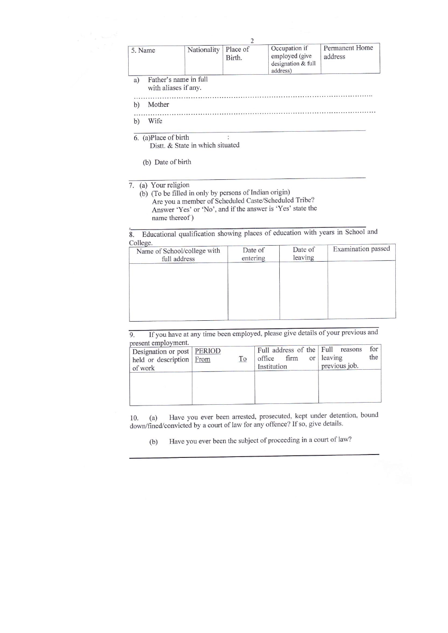|                                                     |  | Birth. | employed (give<br>designation & full<br>address) | address |  |
|-----------------------------------------------------|--|--------|--------------------------------------------------|---------|--|
| Father's name in full<br>a)<br>with aliases if any. |  |        |                                                  |         |  |
| Mother<br>b                                         |  |        |                                                  |         |  |
| Wife<br>$\mathbf{b}$                                |  |        |                                                  |         |  |

 $6.$  (a)Place of birth

Distt. & State in which situated

(b) Date of birth

7. (a) Your religion

(b) (To be filled in only by persons of Indian origin) Are you a member of Scheduled Caste/Scheduled Tribe? Answer 'Yes' or 'No', and if the answer is 'Yes' state the name thereof)

Educational qualification showing places of education with years in School and  $\overline{8}$ .  $C_0$ llege

| Conege.<br>Name of School/college with | Date of  | Date of<br>leaving | Examination passed |  |
|----------------------------------------|----------|--------------------|--------------------|--|
| full address                           | entering |                    |                    |  |
|                                        |          |                    |                    |  |
|                                        |          |                    |                    |  |
|                                        |          |                    |                    |  |
|                                        |          |                    |                    |  |
|                                        |          |                    |                    |  |
|                                        |          |                    |                    |  |
|                                        |          |                    |                    |  |

If you have at any time been employed, please give details of your previous and  $\overline{9}$ . present employment

| DI COUIL CHIPTO THUILLE<br>Designation or post   PERIOD<br>held or description From<br>of work | <u>To</u> | Full address of the Full reasons<br>firm<br>office<br>Institution | or leaving<br>previous job. | for<br>the |
|------------------------------------------------------------------------------------------------|-----------|-------------------------------------------------------------------|-----------------------------|------------|
|                                                                                                |           |                                                                   |                             |            |

Have you ever been arrested, prosecuted, kept under detention, bound 10.  $(a)$ down/fined/convicted by a court of law for any offence? If so, give details.

Have you ever been the subject of proceeding in a court of law?  $(b)$